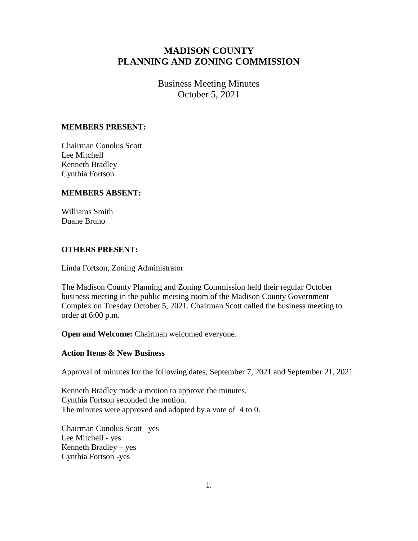# **MADISON COUNTY PLANNING AND ZONING COMMISSION**

# Business Meeting Minutes October 5, 2021

#### **MEMBERS PRESENT:**

Chairman Conolus Scott Lee Mitchell Kenneth Bradley Cynthia Fortson

### **MEMBERS ABSENT:**

Williams Smith Duane Bruno

### **OTHERS PRESENT:**

Linda Fortson, Zoning Administrator

The Madison County Planning and Zoning Commission held their regular October business meeting in the public meeting room of the Madison County Government Complex on Tuesday October 5, 2021. Chairman Scott called the business meeting to order at 6:00 p.m.

**Open and Welcome:** Chairman welcomed everyone.

### **Action Items & New Business**

Approval of minutes for the following dates, September 7, 2021 and September 21, 2021.

Kenneth Bradley made a motion to approve the minutes. Cynthia Fortson seconded the motion. The minutes were approved and adopted by a vote of 4 to 0.

Chairman Conolus Scott– yes Lee Mitchell - yes Kenneth Bradley – yes Cynthia Fortson -yes